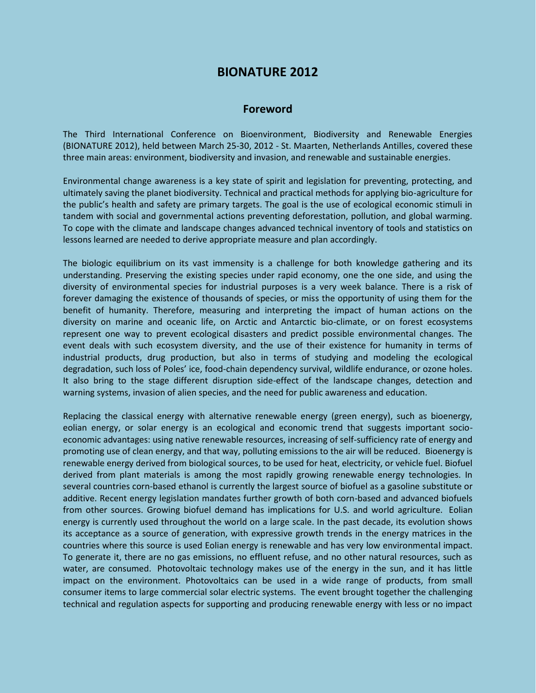## **BIONATURE 2012**

## **Foreword**

The Third International Conference on Bioenvironment, Biodiversity and Renewable Energies (BIONATURE 2012), held between March 25-30, 2012 - St. Maarten, Netherlands Antilles, covered these three main areas: environment, biodiversity and invasion, and renewable and sustainable energies.

Environmental change awareness is a key state of spirit and legislation for preventing, protecting, and ultimately saving the planet biodiversity. Technical and practical methods for applying bio-agriculture for the public's health and safety are primary targets. The goal is the use of ecological economic stimuli in tandem with social and governmental actions preventing deforestation, pollution, and global warming. To cope with the climate and landscape changes advanced technical inventory of tools and statistics on lessons learned are needed to derive appropriate measure and plan accordingly.

The biologic equilibrium on its vast immensity is a challenge for both knowledge gathering and its understanding. Preserving the existing species under rapid economy, one the one side, and using the diversity of environmental species for industrial purposes is a very week balance. There is a risk of forever damaging the existence of thousands of species, or miss the opportunity of using them for the benefit of humanity. Therefore, measuring and interpreting the impact of human actions on the diversity on marine and oceanic life, on Arctic and Antarctic bio-climate, or on forest ecosystems represent one way to prevent ecological disasters and predict possible environmental changes. The event deals with such ecosystem diversity, and the use of their existence for humanity in terms of industrial products, drug production, but also in terms of studying and modeling the ecological degradation, such loss of Poles' ice, food-chain dependency survival, wildlife endurance, or ozone holes. It also bring to the stage different disruption side-effect of the landscape changes, detection and warning systems, invasion of alien species, and the need for public awareness and education.

Replacing the classical energy with alternative renewable energy (green energy), such as bioenergy, eolian energy, or solar energy is an ecological and economic trend that suggests important socioeconomic advantages: using native renewable resources, increasing of self-sufficiency rate of energy and promoting use of clean energy, and that way, polluting emissions to the air will be reduced. Bioenergy is renewable energy derived from biological sources, to be used for heat, electricity, or vehicle fuel. Biofuel derived from plant materials is among the most rapidly growing renewable energy technologies. In several countries corn-based ethanol is currently the largest source of biofuel as a gasoline substitute or additive. Recent energy legislation mandates further growth of both corn-based and advanced biofuels from other sources. Growing biofuel demand has implications for U.S. and world agriculture. Eolian energy is currently used throughout the world on a large scale. In the past decade, its evolution shows its acceptance as a source of generation, with expressive growth trends in the energy matrices in the countries where this source is used Eolian energy is renewable and has very low environmental impact. To generate it, there are no gas emissions, no effluent refuse, and no other natural resources, such as water, are consumed. Photovoltaic technology makes use of the energy in the sun, and it has little impact on the environment. Photovoltaics can be used in a wide range of products, from small consumer items to large commercial solar electric systems. The event brought together the challenging technical and regulation aspects for supporting and producing renewable energy with less or no impact